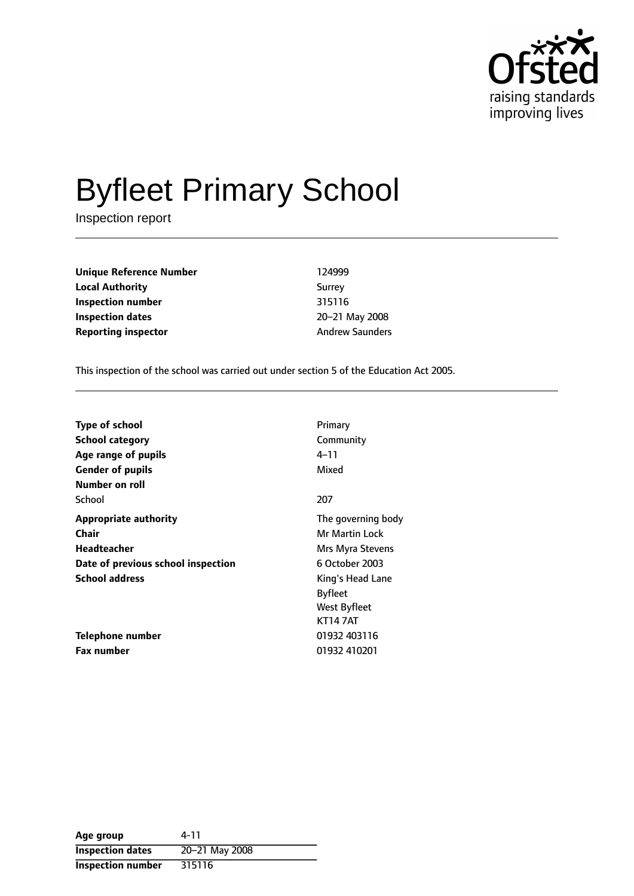

# Byfleet Primary School

Inspection report

**Unique Reference Number** 124999 **Local Authority** Surrey **Inspection number** 315116 **Inspection dates** 20-21 May 2008 **Reporting inspector Andrew Saunders Andrew Saunders** 

This inspection of the school was carried out under section 5 of the Education Act 2005.

| <b>Type of school</b>              | Primary            |
|------------------------------------|--------------------|
| <b>School category</b>             | Community          |
| Age range of pupils                | 4–11               |
| <b>Gender of pupils</b>            | Mixed              |
| Number on roll                     |                    |
| School                             | 207                |
| <b>Appropriate authority</b>       | The governing body |
| <b>Chair</b>                       | Mr Martin Lock     |
| Headteacher                        | Mrs Myra Stevens   |
| Date of previous school inspection | 6 October 2003     |
| <b>School address</b>              | King's Head Lane   |
|                                    | <b>Byfleet</b>     |
|                                    | West Byfleet       |
|                                    | <b>KT147AT</b>     |
| Telephone number                   | 01932 403116       |
| <b>Fax number</b>                  | 01932 410201       |

| Age group                | 4-11           |
|--------------------------|----------------|
| <b>Inspection dates</b>  | 20-21 May 2008 |
| <b>Inspection number</b> | 315116         |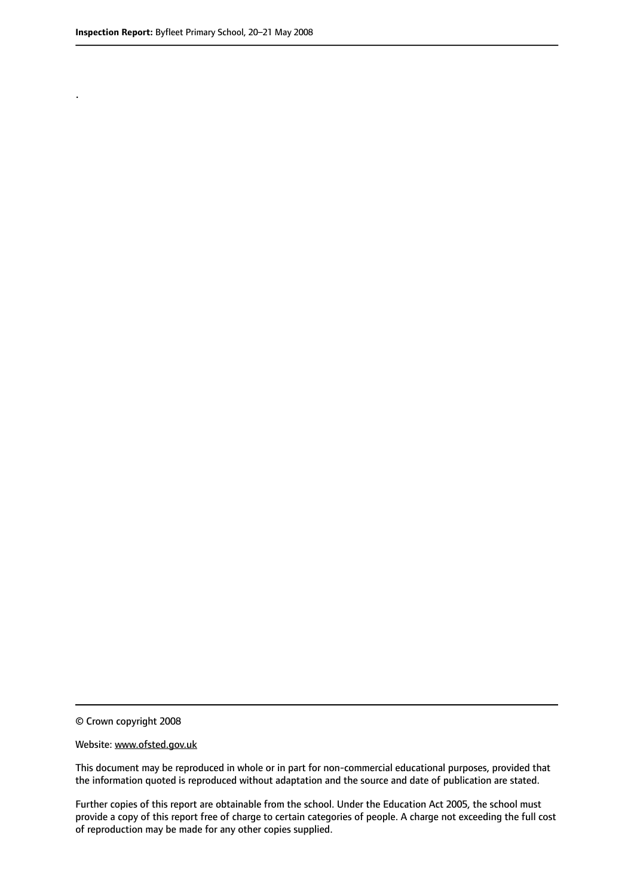.

© Crown copyright 2008

#### Website: www.ofsted.gov.uk

This document may be reproduced in whole or in part for non-commercial educational purposes, provided that the information quoted is reproduced without adaptation and the source and date of publication are stated.

Further copies of this report are obtainable from the school. Under the Education Act 2005, the school must provide a copy of this report free of charge to certain categories of people. A charge not exceeding the full cost of reproduction may be made for any other copies supplied.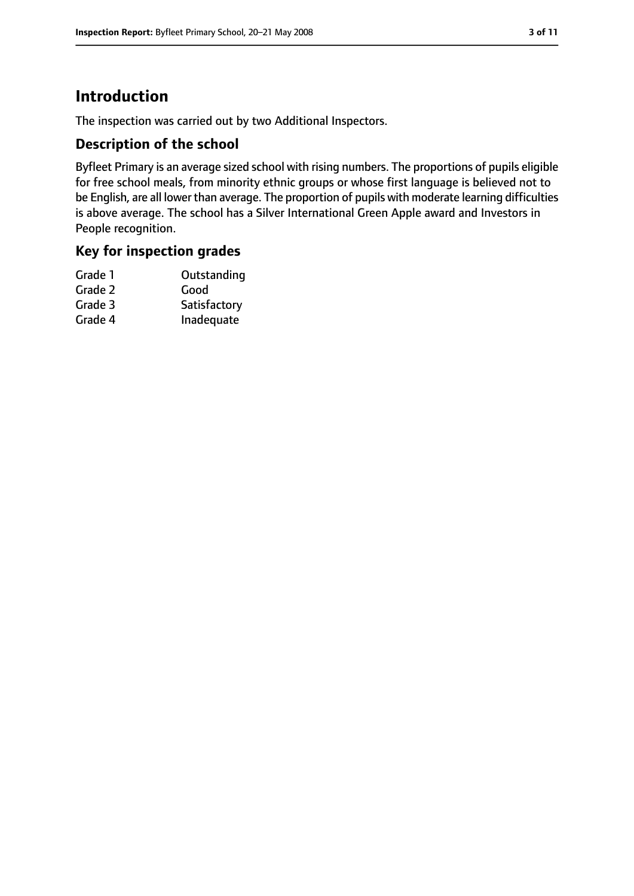# **Introduction**

The inspection was carried out by two Additional Inspectors.

## **Description of the school**

Byfleet Primary is an average sized school with rising numbers. The proportions of pupils eligible for free school meals, from minority ethnic groups or whose first language is believed not to be English, are all lower than average. The proportion of pupils with moderate learning difficulties is above average. The school has a Silver International Green Apple award and Investors in People recognition.

## **Key for inspection grades**

| Grade 1 | Outstanding  |
|---------|--------------|
| Grade 2 | Good         |
| Grade 3 | Satisfactory |
| Grade 4 | Inadequate   |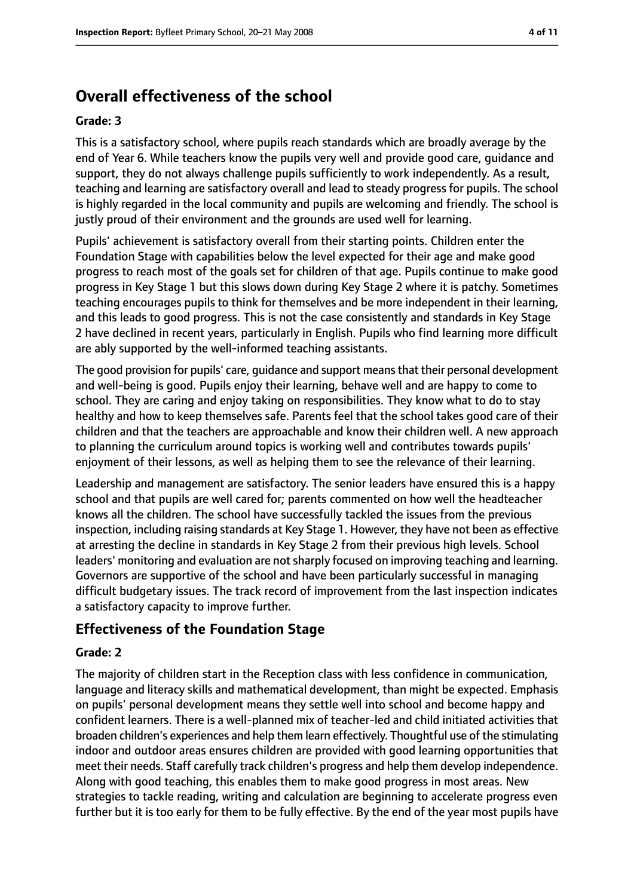# **Overall effectiveness of the school**

#### **Grade: 3**

This is a satisfactory school, where pupils reach standards which are broadly average by the end of Year 6. While teachers know the pupils very well and provide good care, guidance and support, they do not always challenge pupils sufficiently to work independently. As a result, teaching and learning are satisfactory overall and lead to steady progress for pupils. The school is highly regarded in the local community and pupils are welcoming and friendly. The school is justly proud of their environment and the grounds are used well for learning.

Pupils' achievement is satisfactory overall from their starting points. Children enter the Foundation Stage with capabilities below the level expected for their age and make good progress to reach most of the goals set for children of that age. Pupils continue to make good progress in Key Stage 1 but this slows down during Key Stage 2 where it is patchy. Sometimes teaching encourages pupils to think for themselves and be more independent in their learning, and this leads to good progress. This is not the case consistently and standards in Key Stage 2 have declined in recent years, particularly in English. Pupils who find learning more difficult are ably supported by the well-informed teaching assistants.

The good provision for pupils' care, guidance and support meansthat their personal development and well-being is good. Pupils enjoy their learning, behave well and are happy to come to school. They are caring and enjoy taking on responsibilities. They know what to do to stay healthy and how to keep themselves safe. Parents feel that the school takes good care of their children and that the teachers are approachable and know their children well. A new approach to planning the curriculum around topics is working well and contributes towards pupils' enjoyment of their lessons, as well as helping them to see the relevance of their learning.

Leadership and management are satisfactory. The senior leaders have ensured this is a happy school and that pupils are well cared for; parents commented on how well the headteacher knows all the children. The school have successfully tackled the issues from the previous inspection, including raising standards at Key Stage 1. However, they have not been as effective at arresting the decline in standards in Key Stage 2 from their previous high levels. School leaders' monitoring and evaluation are not sharply focused on improving teaching and learning. Governors are supportive of the school and have been particularly successful in managing difficult budgetary issues. The track record of improvement from the last inspection indicates a satisfactory capacity to improve further.

# **Effectiveness of the Foundation Stage**

#### **Grade: 2**

The majority of children start in the Reception class with less confidence in communication, language and literacy skills and mathematical development, than might be expected. Emphasis on pupils' personal development means they settle well into school and become happy and confident learners. There is a well-planned mix of teacher-led and child initiated activities that broaden children's experiences and help them learn effectively. Thoughtful use of the stimulating indoor and outdoor areas ensures children are provided with good learning opportunities that meet their needs. Staff carefully track children's progress and help them develop independence. Along with good teaching, this enables them to make good progress in most areas. New strategies to tackle reading, writing and calculation are beginning to accelerate progress even further but it is too early for them to be fully effective. By the end of the year most pupils have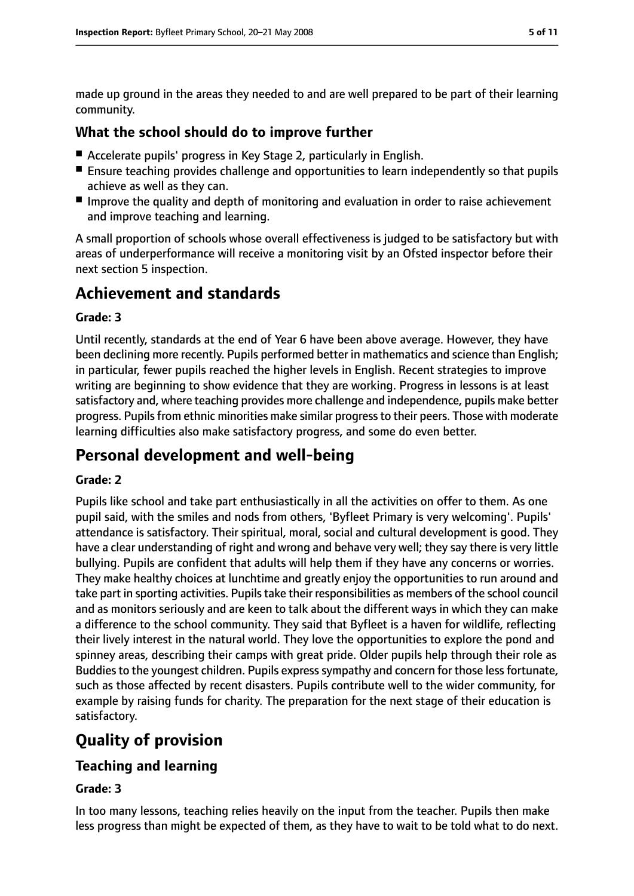made up ground in the areas they needed to and are well prepared to be part of their learning community.

## **What the school should do to improve further**

- Accelerate pupils' progress in Key Stage 2, particularly in English.
- Ensure teaching provides challenge and opportunities to learn independently so that pupils achieve as well as they can.
- Improve the quality and depth of monitoring and evaluation in order to raise achievement and improve teaching and learning.

A small proportion of schools whose overall effectiveness is judged to be satisfactory but with areas of underperformance will receive a monitoring visit by an Ofsted inspector before their next section 5 inspection.

# **Achievement and standards**

### **Grade: 3**

Until recently, standards at the end of Year 6 have been above average. However, they have been declining more recently. Pupils performed better in mathematics and science than English; in particular, fewer pupils reached the higher levels in English. Recent strategies to improve writing are beginning to show evidence that they are working. Progress in lessons is at least satisfactory and, where teaching provides more challenge and independence, pupils make better progress. Pupils from ethnic minorities make similar progress to their peers. Those with moderate learning difficulties also make satisfactory progress, and some do even better.

# **Personal development and well-being**

## **Grade: 2**

Pupils like school and take part enthusiastically in all the activities on offer to them. As one pupil said, with the smiles and nods from others, 'Byfleet Primary is very welcoming'. Pupils' attendance is satisfactory. Their spiritual, moral, social and cultural development is good. They have a clear understanding of right and wrong and behave very well; they say there is very little bullying. Pupils are confident that adults will help them if they have any concerns or worries. They make healthy choices at lunchtime and greatly enjoy the opportunities to run around and take part in sporting activities. Pupils take their responsibilities as members of the school council and as monitors seriously and are keen to talk about the different ways in which they can make a difference to the school community. They said that Byfleet is a haven for wildlife, reflecting their lively interest in the natural world. They love the opportunities to explore the pond and spinney areas, describing their camps with great pride. Older pupils help through their role as Buddies to the youngest children. Pupils express sympathy and concern for those less fortunate, such as those affected by recent disasters. Pupils contribute well to the wider community, for example by raising funds for charity. The preparation for the next stage of their education is satisfactory.

# **Quality of provision**

# **Teaching and learning**

## **Grade: 3**

In too many lessons, teaching relies heavily on the input from the teacher. Pupils then make less progress than might be expected of them, as they have to wait to be told what to do next.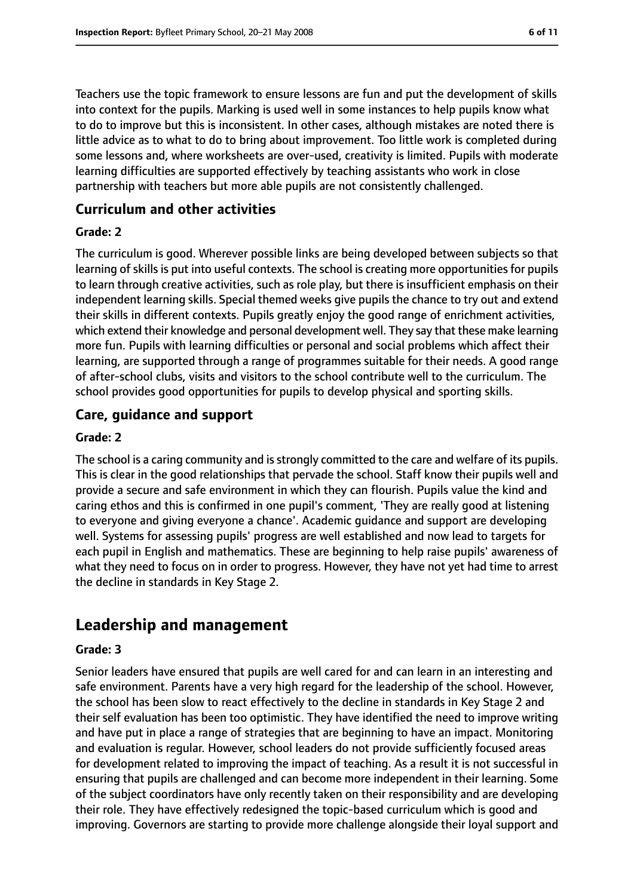Teachers use the topic framework to ensure lessons are fun and put the development of skills into context for the pupils. Marking is used well in some instances to help pupils know what to do to improve but this is inconsistent. In other cases, although mistakes are noted there is little advice as to what to do to bring about improvement. Too little work is completed during some lessons and, where worksheets are over-used, creativity is limited. Pupils with moderate learning difficulties are supported effectively by teaching assistants who work in close partnership with teachers but more able pupils are not consistently challenged.

## **Curriculum and other activities**

#### **Grade: 2**

The curriculum is good. Wherever possible links are being developed between subjects so that learning of skills is put into useful contexts. The school is creating more opportunities for pupils to learn through creative activities, such as role play, but there is insufficient emphasis on their independent learning skills. Special themed weeks give pupils the chance to try out and extend their skills in different contexts. Pupils greatly enjoy the good range of enrichment activities, which extend their knowledge and personal development well. They say that these make learning more fun. Pupils with learning difficulties or personal and social problems which affect their learning, are supported through a range of programmes suitable for their needs. A good range of after-school clubs, visits and visitors to the school contribute well to the curriculum. The school provides good opportunities for pupils to develop physical and sporting skills.

## **Care, guidance and support**

#### **Grade: 2**

The school is a caring community and is strongly committed to the care and welfare of its pupils. This is clear in the good relationships that pervade the school. Staff know their pupils well and provide a secure and safe environment in which they can flourish. Pupils value the kind and caring ethos and this is confirmed in one pupil's comment, 'They are really good at listening to everyone and giving everyone a chance'. Academic guidance and support are developing well. Systems for assessing pupils' progress are well established and now lead to targets for each pupil in English and mathematics. These are beginning to help raise pupils' awareness of what they need to focus on in order to progress. However, they have not yet had time to arrest the decline in standards in Key Stage 2.

# **Leadership and management**

#### **Grade: 3**

Senior leaders have ensured that pupils are well cared for and can learn in an interesting and safe environment. Parents have a very high regard for the leadership of the school. However, the school has been slow to react effectively to the decline in standards in Key Stage 2 and their self evaluation has been too optimistic. They have identified the need to improve writing and have put in place a range of strategies that are beginning to have an impact. Monitoring and evaluation is regular. However, school leaders do not provide sufficiently focused areas for development related to improving the impact of teaching. As a result it is not successful in ensuring that pupils are challenged and can become more independent in their learning. Some of the subject coordinators have only recently taken on their responsibility and are developing their role. They have effectively redesigned the topic-based curriculum which is good and improving. Governors are starting to provide more challenge alongside their loyal support and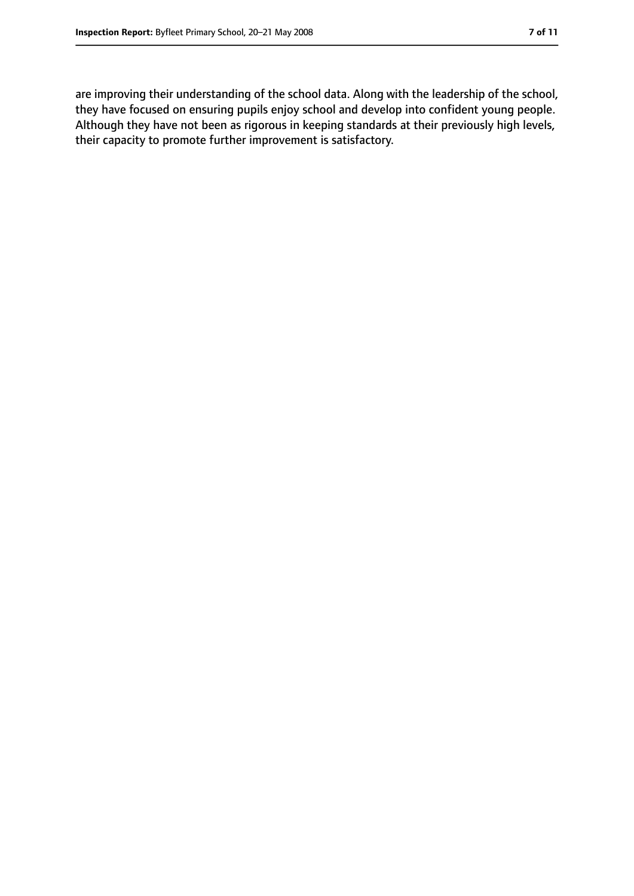are improving their understanding of the school data. Along with the leadership of the school, they have focused on ensuring pupils enjoy school and develop into confident young people. Although they have not been as rigorous in keeping standards at their previously high levels, their capacity to promote further improvement is satisfactory.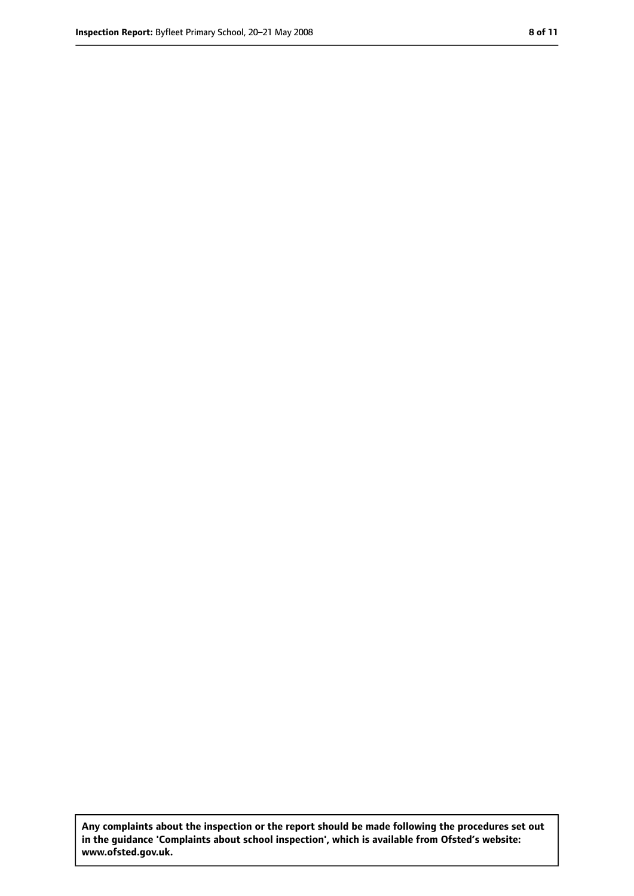**Any complaints about the inspection or the report should be made following the procedures set out in the guidance 'Complaints about school inspection', which is available from Ofsted's website: www.ofsted.gov.uk.**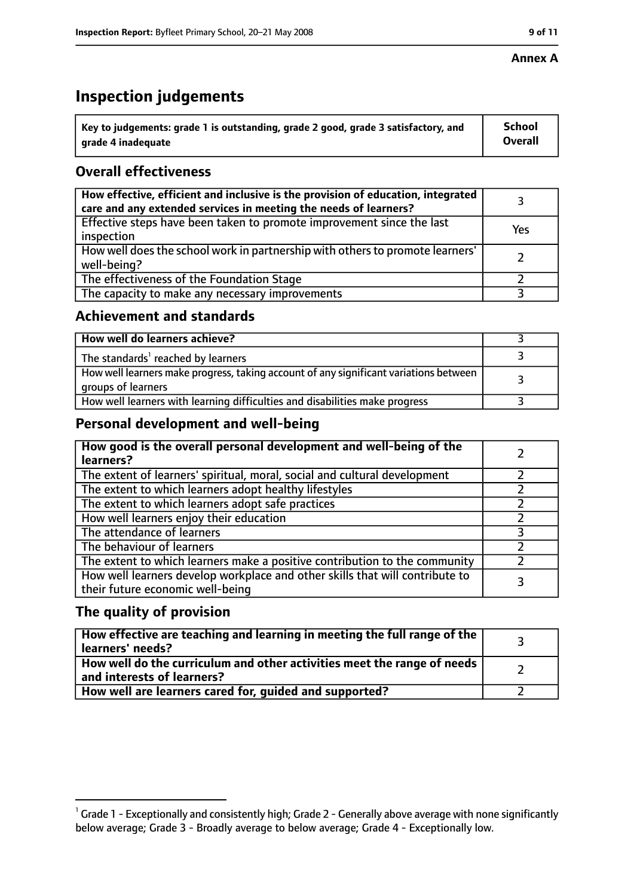#### **Annex A**

# **Inspection judgements**

| $^{\backprime}$ Key to judgements: grade 1 is outstanding, grade 2 good, grade 3 satisfactory, and | <b>School</b>  |
|----------------------------------------------------------------------------------------------------|----------------|
| arade 4 inadeguate                                                                                 | <b>Overall</b> |

# **Overall effectiveness**

| How effective, efficient and inclusive is the provision of education, integrated<br>care and any extended services in meeting the needs of learners? |     |
|------------------------------------------------------------------------------------------------------------------------------------------------------|-----|
| Effective steps have been taken to promote improvement since the last<br>inspection                                                                  | Yes |
| How well does the school work in partnership with others to promote learners'<br>well-being?                                                         |     |
| The effectiveness of the Foundation Stage                                                                                                            |     |
| The capacity to make any necessary improvements                                                                                                      |     |

## **Achievement and standards**

| How well do learners achieve?                                                                               |  |
|-------------------------------------------------------------------------------------------------------------|--|
| The standards <sup>1</sup> reached by learners                                                              |  |
| How well learners make progress, taking account of any significant variations between<br>groups of learners |  |
| How well learners with learning difficulties and disabilities make progress                                 |  |

# **Personal development and well-being**

| How good is the overall personal development and well-being of the<br>learners?                                  |  |
|------------------------------------------------------------------------------------------------------------------|--|
| The extent of learners' spiritual, moral, social and cultural development                                        |  |
| The extent to which learners adopt healthy lifestyles                                                            |  |
| The extent to which learners adopt safe practices                                                                |  |
| How well learners enjoy their education                                                                          |  |
| The attendance of learners                                                                                       |  |
| The behaviour of learners                                                                                        |  |
| The extent to which learners make a positive contribution to the community                                       |  |
| How well learners develop workplace and other skills that will contribute to<br>their future economic well-being |  |

# **The quality of provision**

| How effective are teaching and learning in meeting the full range of the<br>learners' needs?          |  |
|-------------------------------------------------------------------------------------------------------|--|
| How well do the curriculum and other activities meet the range of needs<br>and interests of learners? |  |
| How well are learners cared for, quided and supported?                                                |  |

 $^1$  Grade 1 - Exceptionally and consistently high; Grade 2 - Generally above average with none significantly below average; Grade 3 - Broadly average to below average; Grade 4 - Exceptionally low.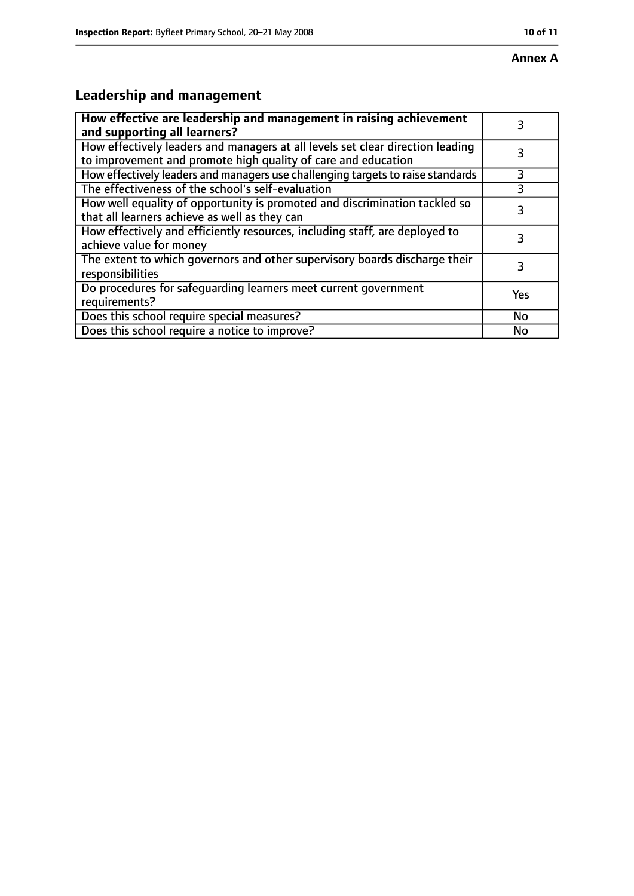# **Annex A**

# **Leadership and management**

| How effective are leadership and management in raising achievement<br>and supporting all learners?                                              |     |
|-------------------------------------------------------------------------------------------------------------------------------------------------|-----|
| How effectively leaders and managers at all levels set clear direction leading<br>to improvement and promote high quality of care and education |     |
| How effectively leaders and managers use challenging targets to raise standards                                                                 | 3   |
| The effectiveness of the school's self-evaluation                                                                                               |     |
| How well equality of opportunity is promoted and discrimination tackled so<br>that all learners achieve as well as they can                     |     |
| How effectively and efficiently resources, including staff, are deployed to<br>achieve value for money                                          | 3   |
| The extent to which governors and other supervisory boards discharge their<br>responsibilities                                                  | 3   |
| Do procedures for safequarding learners meet current government<br>requirements?                                                                | Yes |
| Does this school require special measures?                                                                                                      | No  |
| Does this school require a notice to improve?                                                                                                   | No  |